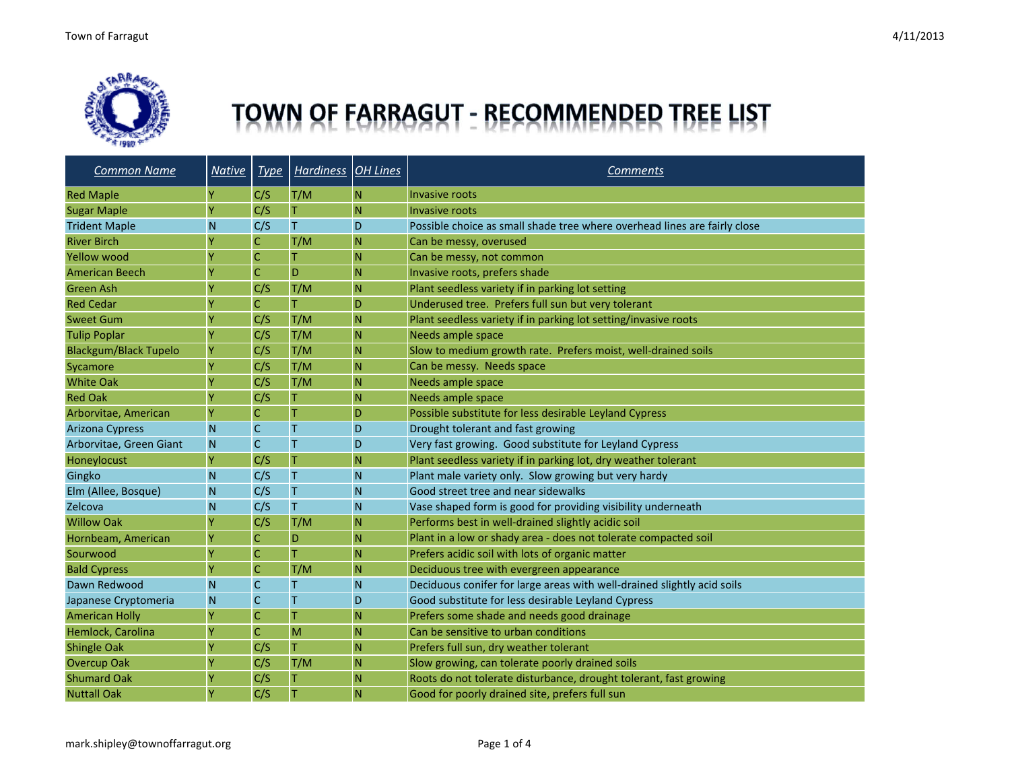

# TOWN OF FARRAGUT - RECOMMENDED TREE LIST

| <b>Common Name</b>           | <b>Native</b> | <b>Type</b>  | Hardiness <b>OH</b> Lines |           | <b>Comments</b>                                                           |
|------------------------------|---------------|--------------|---------------------------|-----------|---------------------------------------------------------------------------|
| <b>Red Maple</b>             | Y             | C/S          | T/M                       | N         | <b>Invasive roots</b>                                                     |
| <b>Sugar Maple</b>           | γ             | C/S          | Τ                         | N         | Invasive roots                                                            |
| <b>Trident Maple</b>         | N             | C/S          | T                         | D         | Possible choice as small shade tree where overhead lines are fairly close |
| <b>River Birch</b>           | Υ             | $\mathsf C$  | T/M                       | N         | Can be messy, overused                                                    |
| <b>Yellow wood</b>           | Ÿ             | $\mathsf C$  | Τ                         | ${\sf N}$ | Can be messy, not common                                                  |
| <b>American Beech</b>        |               | $\mathsf{C}$ | D                         | <b>N</b>  | Invasive roots, prefers shade                                             |
| Green Ash                    |               | C/S          | T/M                       | N         | Plant seedless variety if in parking lot setting                          |
| <b>Red Cedar</b>             |               | $\mathsf C$  | T                         | D         | Underused tree. Prefers full sun but very tolerant                        |
| <b>Sweet Gum</b>             | Ÿ             | C/S          | T/M                       | N         | Plant seedless variety if in parking lot setting/invasive roots           |
| <b>Tulip Poplar</b>          | Ÿ             | C/S          | T/M                       | N         | Needs ample space                                                         |
| <b>Blackgum/Black Tupelo</b> | Y             | C/S          | T/M                       | ${\sf N}$ | Slow to medium growth rate. Prefers moist, well-drained soils             |
| Sycamore                     | Ÿ             | C/S          | T/M                       | N         | Can be messy. Needs space                                                 |
| <b>White Oak</b>             | Y             | C/S          | T/M                       | N         | Needs ample space                                                         |
| <b>Red Oak</b>               | Υ             | C/S          | т                         | N         | Needs ample space                                                         |
| Arborvitae, American         | Ÿ             | $\mathsf C$  | T                         | D         | Possible substitute for less desirable Leyland Cypress                    |
| <b>Arizona Cypress</b>       | N             | $\mathsf{C}$ | T                         | D         | Drought tolerant and fast growing                                         |
| Arborvitae, Green Giant      | N             | $\mathsf{C}$ | T                         | D         | Very fast growing. Good substitute for Leyland Cypress                    |
| Honeylocust                  | Ÿ             | C/S          | T                         | N         | Plant seedless variety if in parking lot, dry weather tolerant            |
| Gingko                       | N             | C/S          | Τ                         | <b>N</b>  | Plant male variety only. Slow growing but very hardy                      |
| Elm (Allee, Bosque)          | N             | C/S          | T                         | N         | Good street tree and near sidewalks                                       |
| Zelcova                      | N             | C/S          | T                         | N         | Vase shaped form is good for providing visibility underneath              |
| <b>Willow Oak</b>            |               | C/S          | T/M                       | N         | Performs best in well-drained slightly acidic soil                        |
| Hornbeam, American           | Y             | $\mathsf C$  | D                         | N         | Plant in a low or shady area - does not tolerate compacted soil           |
| Sourwood                     | Y             | $\mathsf C$  | т                         | N         | Prefers acidic soil with lots of organic matter                           |
| <b>Bald Cypress</b>          | Ÿ             | $\mathsf C$  | T/M                       | N         | Deciduous tree with evergreen appearance                                  |
| Dawn Redwood                 | N             | $\mathsf C$  | T                         | N         | Deciduous conifer for large areas with well-drained slightly acid soils   |
| Japanese Cryptomeria         | N             | $\mathsf{C}$ | T                         | D         | Good substitute for less desirable Leyland Cypress                        |
| <b>American Holly</b>        | Ÿ             | $\mathsf C$  | T                         | N         | Prefers some shade and needs good drainage                                |
| Hemlock, Carolina            | Ÿ             | $\mathsf C$  | M                         | ${\sf N}$ | Can be sensitive to urban conditions                                      |
| <b>Shingle Oak</b>           | γ             | C/S          | т                         | <b>N</b>  | Prefers full sun, dry weather tolerant                                    |
| <b>Overcup Oak</b>           | Υ             | C/S          | T/M                       | N         | Slow growing, can tolerate poorly drained soils                           |
| <b>Shumard Oak</b>           | Y             | C/S          | Τ                         | N         | Roots do not tolerate disturbance, drought tolerant, fast growing         |
| <b>Nuttall Oak</b>           | ٧             | C/S          | Τ                         | N         | Good for poorly drained site, prefers full sun                            |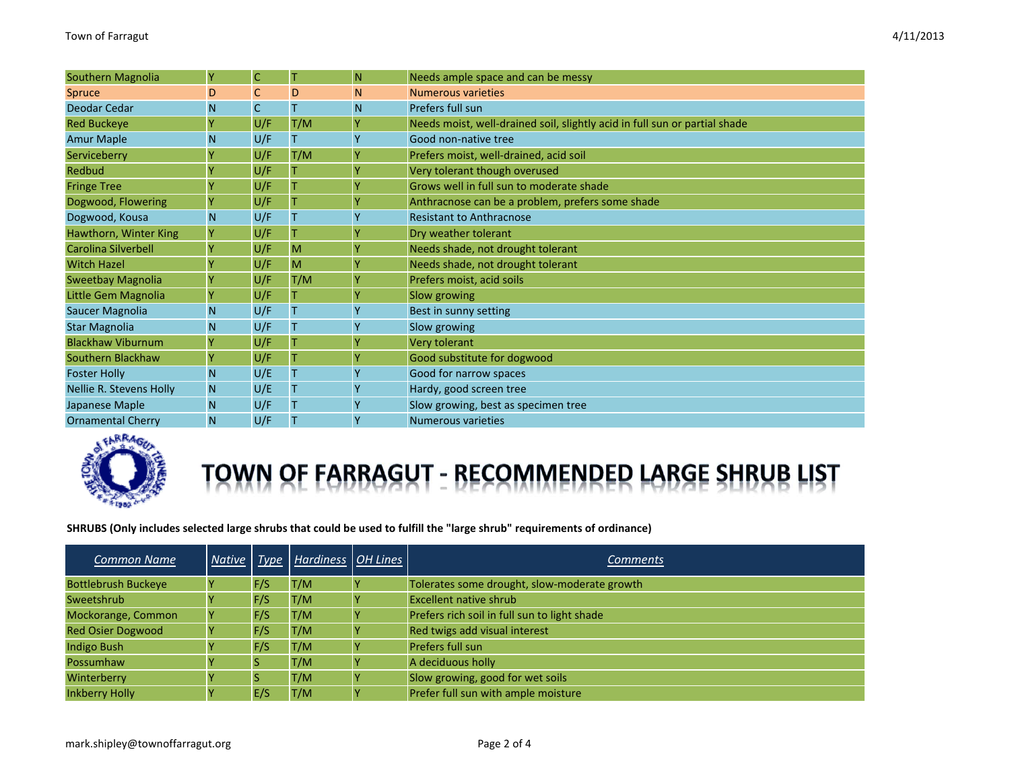|  | 4/11/2013 |
|--|-----------|
|--|-----------|

| <b>Southern Magnolia</b>   | Ÿ | $\mathsf C$ | T   | N. | Needs ample space and can be messy                                         |
|----------------------------|---|-------------|-----|----|----------------------------------------------------------------------------|
| <b>Spruce</b>              | D | C           | D   | N  | <b>Numerous varieties</b>                                                  |
| Deodar Cedar               | N | $\mathsf C$ | Т   | N  | Prefers full sun                                                           |
| <b>Red Buckeye</b>         | Ÿ | U/F         | T/M |    | Needs moist, well-drained soil, slightly acid in full sun or partial shade |
| <b>Amur Maple</b>          | N | U/F         |     |    | Good non-native tree                                                       |
| Serviceberry               | ٧ | U/F         | T/M |    | Prefers moist, well-drained, acid soil                                     |
| Redbud                     |   | U/F         |     |    | Very tolerant though overused                                              |
| <b>Fringe Tree</b>         | Ÿ | U/F         |     |    | Grows well in full sun to moderate shade                                   |
| Dogwood, Flowering         |   | U/F         |     |    | Anthracnose can be a problem, prefers some shade                           |
| Dogwood, Kousa             | N | U/F         |     | Y  | <b>Resistant to Anthracnose</b>                                            |
| Hawthorn, Winter King      | Ÿ | U/F         |     |    | Dry weather tolerant                                                       |
| <b>Carolina Silverbell</b> |   | U/F         | M   |    | Needs shade, not drought tolerant                                          |
| <b>Witch Hazel</b>         |   | U/F         | M   |    | Needs shade, not drought tolerant                                          |
| <b>Sweetbay Magnolia</b>   |   | U/F         | T/M |    | Prefers moist, acid soils                                                  |
| Little Gem Magnolia        |   | U/F         |     |    | Slow growing                                                               |
| Saucer Magnolia            | N | U/F         | Τ   | Y  | Best in sunny setting                                                      |
| <b>Star Magnolia</b>       | N | U/F         | Т   |    | Slow growing                                                               |
| <b>Blackhaw Viburnum</b>   | Ÿ | U/F         |     |    | Very tolerant                                                              |
| Southern Blackhaw          |   | U/F         | т   |    | Good substitute for dogwood                                                |
| <b>Foster Holly</b>        | N | U/E         | Т   | Y  | Good for narrow spaces                                                     |
| Nellie R. Stevens Holly    | N | U/E         | Т   | Y  | Hardy, good screen tree                                                    |
| Japanese Maple             | N | U/F         | Τ   |    | Slow growing, best as specimen tree                                        |
| <b>Ornamental Cherry</b>   | N | U/F         | Т   | Y  | <b>Numerous varieties</b>                                                  |



## TOWN OF FABBAGUT - RECOMMENDED LABGE SHBUB LIST

#### SHRUBS (Only includes selected large shrubs that could be used to fulfill the "large shrub" requirements of ordinance)

| <b>Common Name</b>         |     | Native   Type   Hardiness   OH Lines | <b>Comments</b>                              |
|----------------------------|-----|--------------------------------------|----------------------------------------------|
| <b>Bottlebrush Buckeye</b> | F/S | T/M                                  | Tolerates some drought, slow-moderate growth |
| Sweetshrub                 | F/S | T/M                                  | <b>Excellent native shrub</b>                |
| Mockorange, Common         | F/S | T/M                                  | Prefers rich soil in full sun to light shade |
| <b>Red Osier Dogwood</b>   | F/S | T/M                                  | Red twigs add visual interest                |
| <b>Indigo Bush</b>         | F/S | T/M                                  | Prefers full sun                             |
| Possumhaw                  |     | T/M                                  | A deciduous holly                            |
| Winterberry                |     | T/M                                  | Slow growing, good for wet soils             |
| <b>Inkberry Holly</b>      | E/S | T/M                                  | Prefer full sun with ample moisture          |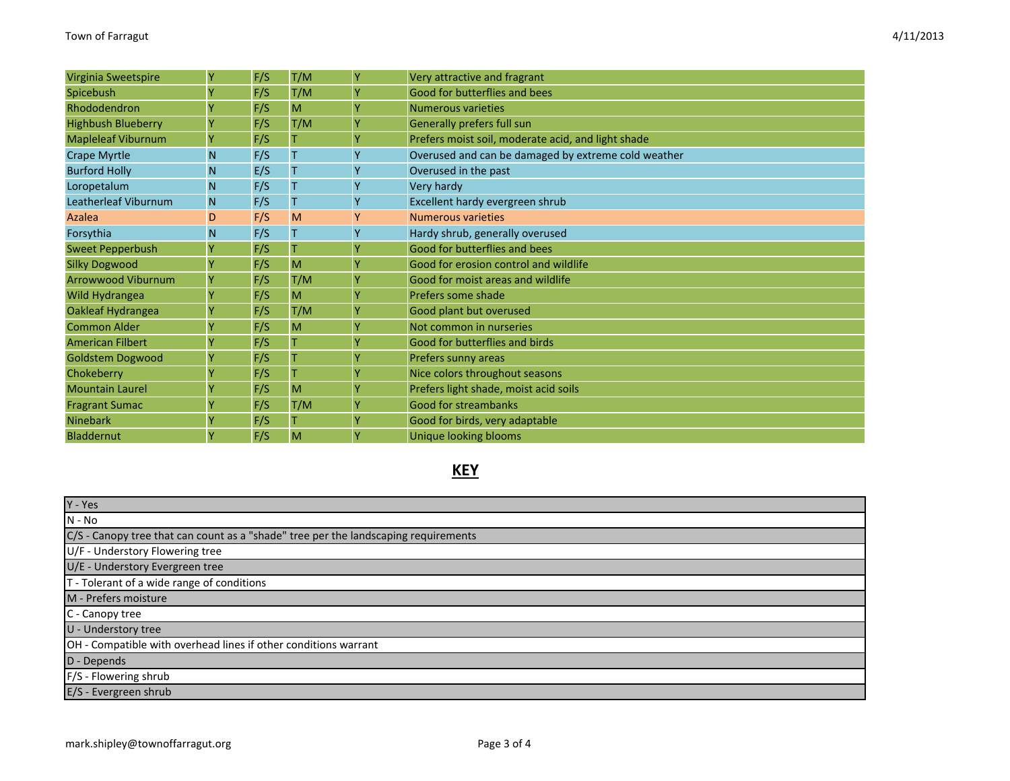| Virginia Sweetspire       | Y | F/S | T/M | Y | Very attractive and fragrant                        |
|---------------------------|---|-----|-----|---|-----------------------------------------------------|
| Spicebush                 |   | F/S | T/M | Ÿ | Good for butterflies and bees                       |
| Rhododendron              |   | F/S | M   |   | <b>Numerous varieties</b>                           |
| <b>Highbush Blueberry</b> |   | F/S | T/M |   | Generally prefers full sun                          |
| <b>Mapleleaf Viburnum</b> | Y | F/S |     | Υ | Prefers moist soil, moderate acid, and light shade  |
| <b>Crape Myrtle</b>       | N | F/S |     |   | Overused and can be damaged by extreme cold weather |
| <b>Burford Holly</b>      | N | E/S | т   | Υ | Overused in the past                                |
| Loropetalum               | N | F/S |     | Y | Very hardy                                          |
| Leatherleaf Viburnum      | N | F/S | Т   |   | Excellent hardy evergreen shrub                     |
| Azalea                    | D | F/S | M   | Y | <b>Numerous varieties</b>                           |
| Forsythia                 | N | F/S |     |   | Hardy shrub, generally overused                     |
| <b>Sweet Pepperbush</b>   | Y | F/S |     | Υ | Good for butterflies and bees                       |
| <b>Silky Dogwood</b>      |   | F/S | M   | Υ | Good for erosion control and wildlife               |
| <b>Arrowwood Viburnum</b> | Y | F/S | T/M | Υ | Good for moist areas and wildlife                   |
| Wild Hydrangea            |   | F/S | M   | Υ | Prefers some shade                                  |
| Oakleaf Hydrangea         |   | F/S | T/M | Υ | Good plant but overused                             |
| <b>Common Alder</b>       |   | F/S | M   | ٧ | Not common in nurseries                             |
| <b>American Filbert</b>   |   | F/S |     | ٧ | Good for butterflies and birds                      |
| <b>Goldstem Dogwood</b>   |   | F/S |     |   | Prefers sunny areas                                 |
| Chokeberry                |   | F/S |     | Υ | Nice colors throughout seasons                      |
| <b>Mountain Laurel</b>    |   | F/S | M   | Υ | Prefers light shade, moist acid soils               |
| <b>Fragrant Sumac</b>     |   | F/S | T/M | Υ | <b>Good for streambanks</b>                         |
| <b>Ninebark</b>           |   | F/S |     | γ | Good for birds, very adaptable                      |
| <b>Bladdernut</b>         | Y | F/S | M   | Υ | <b>Unique looking blooms</b>                        |

### **KEY**

| $Y - Yes$                                                                           |
|-------------------------------------------------------------------------------------|
| $N - No$                                                                            |
| C/S - Canopy tree that can count as a "shade" tree per the landscaping requirements |
| U/F - Understory Flowering tree                                                     |
| U/E - Understory Evergreen tree                                                     |
| T - Tolerant of a wide range of conditions                                          |
| M - Prefers moisture                                                                |
| C - Canopy tree                                                                     |
| U - Understory tree                                                                 |
| OH - Compatible with overhead lines if other conditions warrant                     |
| D - Depends                                                                         |
| F/S - Flowering shrub                                                               |
| E/S - Evergreen shrub                                                               |